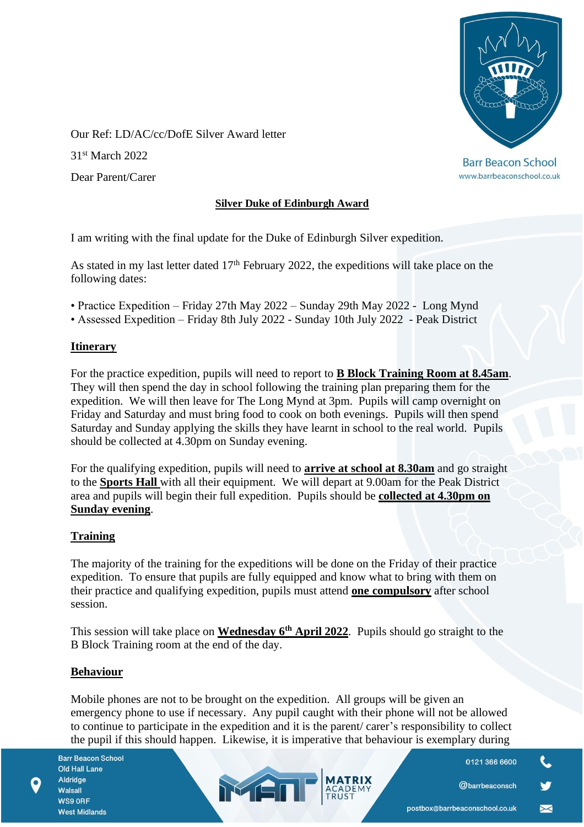

www.barrbeaconschool.co.uk

Our Ref: LD/AC/cc/DofE Silver Award letter

31st March 2022

Dear Parent/Carer

### **Silver Duke of Edinburgh Award**

I am writing with the final update for the Duke of Edinburgh Silver expedition.

As stated in my last letter dated  $17<sup>th</sup>$  February 2022, the expeditions will take place on the following dates:

- Practice Expedition Friday 27th May 2022 Sunday 29th May 2022 Long Mynd
- Assessed Expedition Friday 8th July 2022 Sunday 10th July 2022 Peak District

### **Itinerary**

For the practice expedition, pupils will need to report to **B Block Training Room at 8.45am**. They will then spend the day in school following the training plan preparing them for the expedition. We will then leave for The Long Mynd at 3pm. Pupils will camp overnight on Friday and Saturday and must bring food to cook on both evenings. Pupils will then spend Saturday and Sunday applying the skills they have learnt in school to the real world. Pupils should be collected at 4.30pm on Sunday evening.

For the qualifying expedition, pupils will need to **arrive at school at 8.30am** and go straight to the **Sports Hall** with all their equipment. We will depart at 9.00am for the Peak District area and pupils will begin their full expedition. Pupils should be **collected at 4.30pm on Sunday evening**.

# **Training**

The majority of the training for the expeditions will be done on the Friday of their practice expedition. To ensure that pupils are fully equipped and know what to bring with them on their practice and qualifying expedition, pupils must attend **one compulsory** after school session.

This session will take place on **Wednesday 6th April 2022**. Pupils should go straight to the B Block Training room at the end of the day.

# **Behaviour**

Mobile phones are not to be brought on the expedition. All groups will be given an emergency phone to use if necessary. Any pupil caught with their phone will not be allowed to continue to participate in the expedition and it is the parent/ carer's responsibility to collect the pupil if this should happen. Likewise, it is imperative that behaviour is exemplary during

MEN

**Barr Beacon School** Old Hall Lane Aldridge Walsall WS9 ORF **West Midlands** 

0121 366 6600

@barrbeaconsch